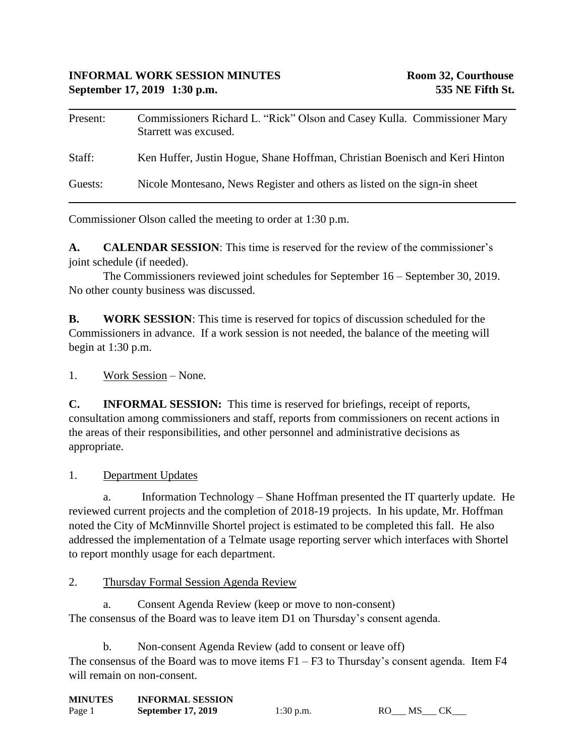## **INFORMAL WORK SESSION MINUTES Room 32, Courthouse September 17, 2019 1:30 p.m. 535 NE Fifth St.**

| Present: | Commissioners Richard L. "Rick" Olson and Casey Kulla. Commissioner Mary<br>Starrett was excused. |
|----------|---------------------------------------------------------------------------------------------------|
| Staff:   | Ken Huffer, Justin Hogue, Shane Hoffman, Christian Boenisch and Keri Hinton                       |
| Guests:  | Nicole Montesano, News Register and others as listed on the sign-in sheet                         |

Commissioner Olson called the meeting to order at 1:30 p.m.

**A. CALENDAR SESSION**: This time is reserved for the review of the commissioner's joint schedule (if needed).

The Commissioners reviewed joint schedules for September 16 – September 30, 2019. No other county business was discussed.

**B. WORK SESSION**: This time is reserved for topics of discussion scheduled for the Commissioners in advance. If a work session is not needed, the balance of the meeting will begin at 1:30 p.m.

1. Work Session – None.

**C. INFORMAL SESSION:** This time is reserved for briefings, receipt of reports, consultation among commissioners and staff, reports from commissioners on recent actions in the areas of their responsibilities, and other personnel and administrative decisions as appropriate.

1. Department Updates

a. Information Technology – Shane Hoffman presented the IT quarterly update. He reviewed current projects and the completion of 2018-19 projects. In his update, Mr. Hoffman noted the City of McMinnville Shortel project is estimated to be completed this fall. He also addressed the implementation of a Telmate usage reporting server which interfaces with Shortel to report monthly usage for each department.

2. Thursday Formal Session Agenda Review

a. Consent Agenda Review (keep or move to non-consent) The consensus of the Board was to leave item D1 on Thursday's consent agenda.

b. Non-consent Agenda Review (add to consent or leave off) The consensus of the Board was to move items  $F1 - F3$  to Thursday's consent agenda. Item  $F4$ will remain on non-consent.